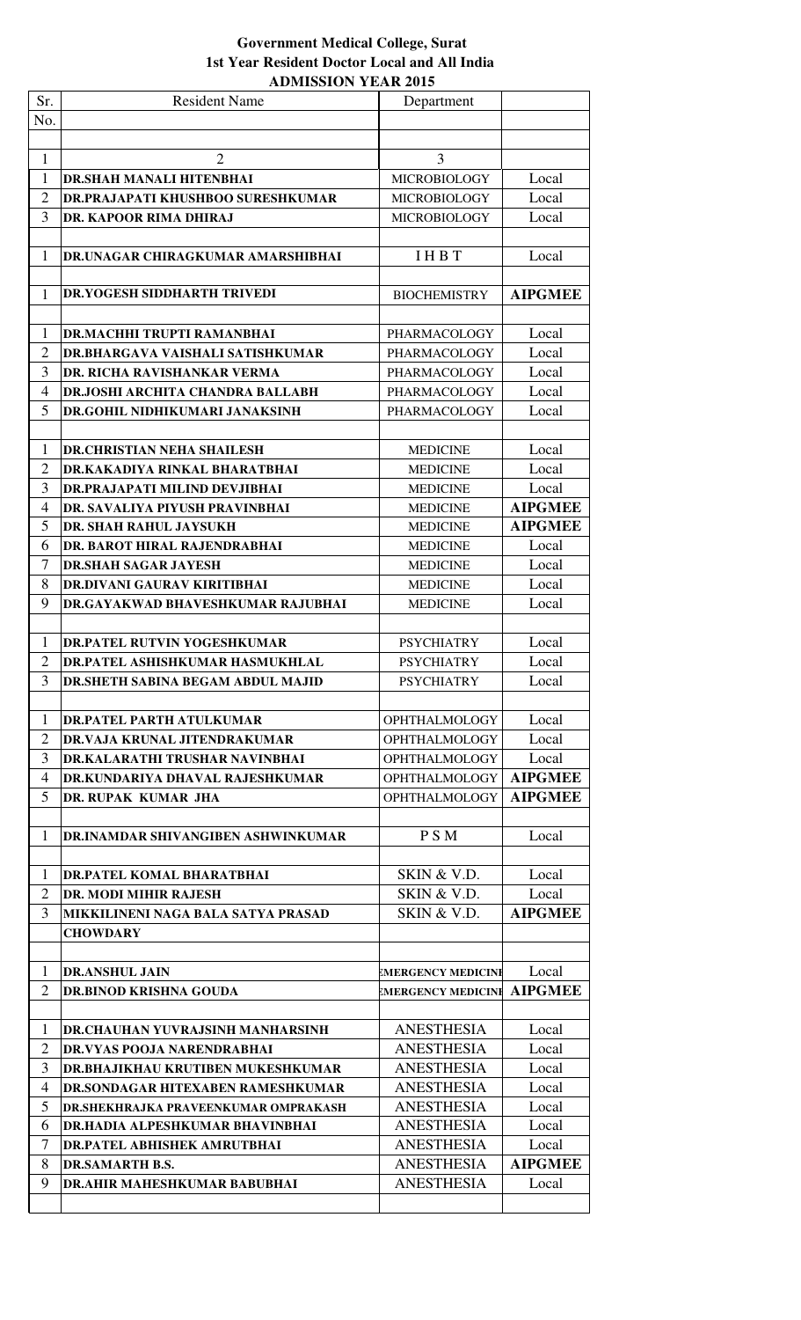| Sr.                 | <b>Resident Name</b>                                        | Department                |                |
|---------------------|-------------------------------------------------------------|---------------------------|----------------|
| No.                 |                                                             |                           |                |
|                     |                                                             |                           |                |
| 1                   | $\overline{2}$                                              | 3                         |                |
| 1                   | DR.SHAH MANALI HITENBHAI                                    | <b>MICROBIOLOGY</b>       | Local          |
| $\overline{2}$      | <b>DR.PRAJAPATI KHUSHBOO SURESHKUMAR</b>                    | <b>MICROBIOLOGY</b>       | Local          |
| 3                   | DR. KAPOOR RIMA DHIRAJ                                      | <b>MICROBIOLOGY</b>       | Local          |
|                     |                                                             |                           |                |
| 1                   | DR.UNAGAR CHIRAGKUMAR AMARSHIBHAI                           | <b>IHBT</b>               | Local          |
|                     |                                                             |                           |                |
| 1                   | DR.YOGESH SIDDHARTH TRIVEDI                                 |                           | <b>AIPGMEE</b> |
|                     |                                                             | <b>BIOCHEMISTRY</b>       |                |
|                     |                                                             |                           |                |
| 1                   | DR.MACHHI TRUPTI RAMANBHAI                                  | PHARMACOLOGY              | Local          |
| $\overline{2}$      | DR.BHARGAVA VAISHALI SATISHKUMAR                            | PHARMACOLOGY              | Local          |
| 3                   | DR. RICHA RAVISHANKAR VERMA                                 | <b>PHARMACOLOGY</b>       | Local          |
| $\overline{4}$      | DR.JOSHI ARCHITA CHANDRA BALLABH                            | <b>PHARMACOLOGY</b>       | Local          |
| 5                   | DR.GOHIL NIDHIKUMARI JANAKSINH                              | <b>PHARMACOLOGY</b>       | Local          |
|                     |                                                             |                           |                |
| 1                   | <b>DR.CHRISTIAN NEHA SHAILESH</b>                           | <b>MEDICINE</b>           | Local          |
| $\overline{2}$      | DR.KAKADIYA RINKAL BHARATBHAI                               | <b>MEDICINE</b>           | Local          |
| 3                   | DR.PRAJAPATI MILIND DEVJIBHAI                               | <b>MEDICINE</b>           | Local          |
| 4                   | DR. SAVALIYA PIYUSH PRAVINBHAI                              | <b>MEDICINE</b>           | <b>AIPGMEE</b> |
| 5                   | DR. SHAH RAHUL JAYSUKH                                      | <b>MEDICINE</b>           | <b>AIPGMEE</b> |
| 6                   | DR. BAROT HIRAL RAJENDRABHAI                                | <b>MEDICINE</b>           | Local          |
| $\overline{7}$      | <b>DR.SHAH SAGAR JAYESH</b>                                 | <b>MEDICINE</b>           | Local          |
| 8                   | DR.DIVANI GAURAV KIRITIBHAI                                 | <b>MEDICINE</b>           | Local          |
| 9                   | DR.GAYAKWAD BHAVESHKUMAR RAJUBHAI                           | <b>MEDICINE</b>           | Local          |
|                     |                                                             |                           |                |
| 1                   | <b>DR.PATEL RUTVIN YOGESHKUMAR</b>                          | <b>PSYCHIATRY</b>         | Local          |
| $\overline{2}$      | <b>DR.PATEL ASHISHKUMAR HASMUKHLAL</b>                      | <b>PSYCHIATRY</b>         | Local          |
| 3                   | DR.SHETH SABINA BEGAM ABDUL MAJID                           | <b>PSYCHIATRY</b>         | Local          |
|                     |                                                             |                           |                |
| 1<br>$\overline{2}$ | DR.PATEL PARTH ATULKUMAR                                    | <b>OPHTHALMOLOGY</b>      | Local          |
| 3                   | DR.VAJA KRUNAL JITENDRAKUMAR                                | <b>OPHTHALMOLOGY</b>      | Local          |
|                     | DR.KALARATHI TRUSHAR NAVINBHAI                              | <b>OPHTHALMOLOGY</b>      | Local          |
| 4                   | DR.KUNDARIYA DHAVAL RAJESHKUMAR                             | <b>OPHTHALMOLOGY</b>      | <b>AIPGMEE</b> |
| 5                   | DR. RUPAK KUMAR JHA                                         | <b>OPHTHALMOLOGY</b>      | <b>AIPGMEE</b> |
| 1                   | DR.INAMDAR SHIVANGIBEN ASHWINKUMAR                          | P S M                     | Local          |
|                     |                                                             |                           |                |
| 1                   | DR.PATEL KOMAL BHARATBHAI                                   | SKIN & V.D.               | Local          |
| $\overline{2}$      |                                                             | SKIN & V.D.               | Local          |
| 3                   | DR. MODI MIHIR RAJESH<br>MIKKILINENI NAGA BALA SATYA PRASAD | SKIN & V.D.               | <b>AIPGMEE</b> |
|                     | <b>CHOWDARY</b>                                             |                           |                |
|                     |                                                             |                           |                |
| 1                   | <b>DR.ANSHUL JAIN</b>                                       | <b>EMERGENCY MEDICINE</b> | Local          |
| $\overline{2}$      | DR.BINOD KRISHNA GOUDA                                      | <b>EMERGENCY MEDICINE</b> | <b>AIPGMEE</b> |
|                     |                                                             |                           |                |
| $\mathbf{1}$        | DR.CHAUHAN YUVRAJSINH MANHARSINH                            | <b>ANESTHESIA</b>         | Local          |
| $\overline{2}$      | <b>DR.VYAS POOJA NARENDRABHAI</b>                           | <b>ANESTHESIA</b>         | Local          |
| 3                   | <b>DR.BHAJIKHAU KRUTIBEN MUKESHKUMAR</b>                    | <b>ANESTHESIA</b>         | Local          |
| $\overline{4}$      | DR.SONDAGAR HITEXABEN RAMESHKUMAR                           | <b>ANESTHESIA</b>         | Local          |
| 5                   | <b>DR.SHEKHRAJKA PRAVEENKUMAR OMPRAKASH</b>                 | <b>ANESTHESIA</b>         | Local          |
| 6                   | DR.HADIA ALPESHKUMAR BHAVINBHAI                             | <b>ANESTHESIA</b>         | Local          |
| $\overline{7}$      | <b>DR.PATEL ABHISHEK AMRUTBHAI</b>                          | <b>ANESTHESIA</b>         | Local          |
| 8                   | <b>DR.SAMARTH B.S.</b>                                      | <b>ANESTHESIA</b>         | <b>AIPGMEE</b> |
| 9                   | <b>DR.AHIR MAHESHKUMAR BABUBHAI</b>                         | <b>ANESTHESIA</b>         | Local          |
|                     |                                                             |                           |                |
|                     |                                                             |                           |                |

## **1st Year Resident Doctor Local and All India ADMISSION YEAR 2015 Government Medical College, Surat**